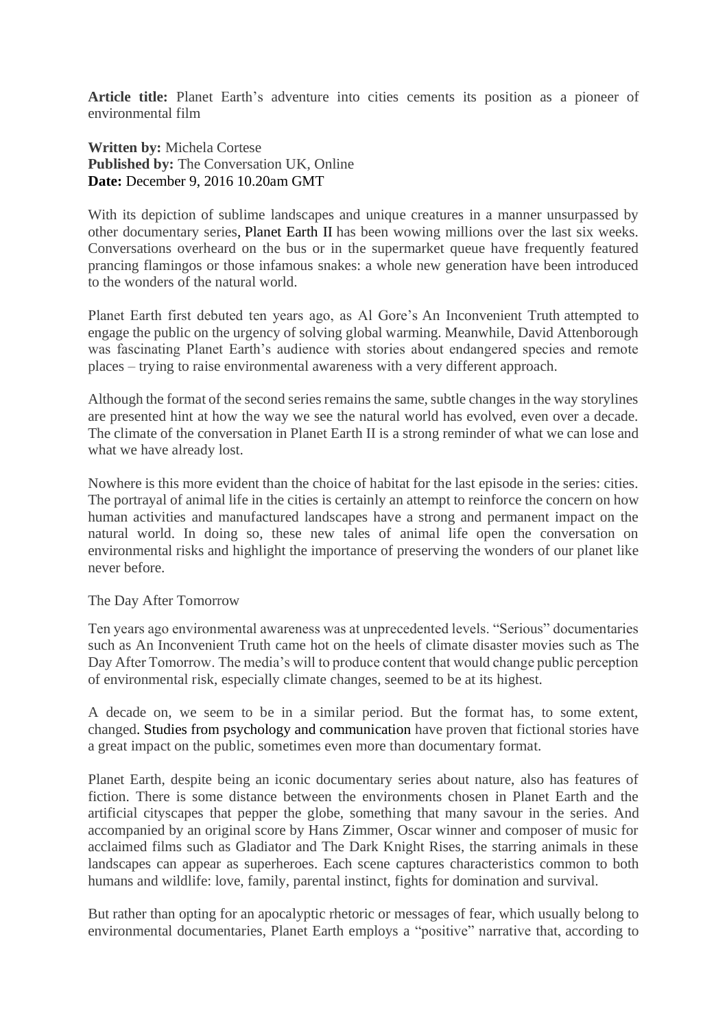**Article title:** Planet Earth's adventure into cities cements its position as a pioneer of environmental film

**Written by:** Michela Cortese **Published by:** The Conversation UK, Online **Date:** December 9, 2016 10.20am GMT

With its depiction of sublime landscapes and unique creatures in a manner unsurpassed by other documentary series, [Planet Earth II](https://theconversation.com/uk/topics/planet-earth-ii-33284) has been wowing millions over the last six weeks. Conversations overheard on the bus or in the supermarket queue have frequently featured prancing flamingos or those infamous snakes: a whole new generation have been introduced to the wonders of the natural world.

Planet Earth first debuted ten years ago, as Al Gore's An Inconvenient Truth attempted to engage the public on the urgency of solving global warming. Meanwhile, David Attenborough was fascinating Planet Earth's audience with stories about endangered species and remote places – trying to raise environmental awareness with a very different approach.

Although the format of the second series remains the same, subtle changes in the way storylines are presented hint at how the way we see the natural world has evolved, even over a decade. The climate of the conversation in Planet Earth II is a strong reminder of what we can lose and what we have already lost.

Nowhere is this more evident than the choice of habitat for the last episode in the series: cities. The portrayal of animal life in the cities is certainly an attempt to reinforce the concern on how human activities and manufactured landscapes have a strong and permanent impact on the natural world. In doing so, these new tales of animal life open the conversation on environmental risks and highlight the importance of preserving the wonders of our planet like never before.

## The Day After Tomorrow

Ten years ago environmental awareness was at unprecedented levels. "Serious" documentaries such as An Inconvenient Truth came hot on the heels of climate disaster movies such as The Day After Tomorrow. The media's will to produce content that would change public perception of environmental risk, especially climate changes, seemed to be at its highest.

A decade on, we seem to be in a similar period. But the format has, to some extent, changed. [Studies from psychology and communication](http://onlinelibrary.wiley.com/doi/10.1111/j.1468-2885.2008.00328.x/full) have proven that fictional stories have a great impact on the public, sometimes even more than documentary format.

Planet Earth, despite being an iconic documentary series about nature, also has features of fiction. There is some distance between the environments chosen in Planet Earth and the artificial cityscapes that pepper the globe, something that many savour in the series. And accompanied by an original score by Hans Zimmer, Oscar winner and composer of music for acclaimed films such as Gladiator and The Dark Knight Rises, the starring animals in these landscapes can appear as superheroes. Each scene captures characteristics common to both humans and wildlife: love, family, parental instinct, fights for domination and survival.

But rather than opting for an apocalyptic rhetoric or messages of fear, which usually belong to environmental documentaries, Planet Earth employs a "positive" narrative that, according to